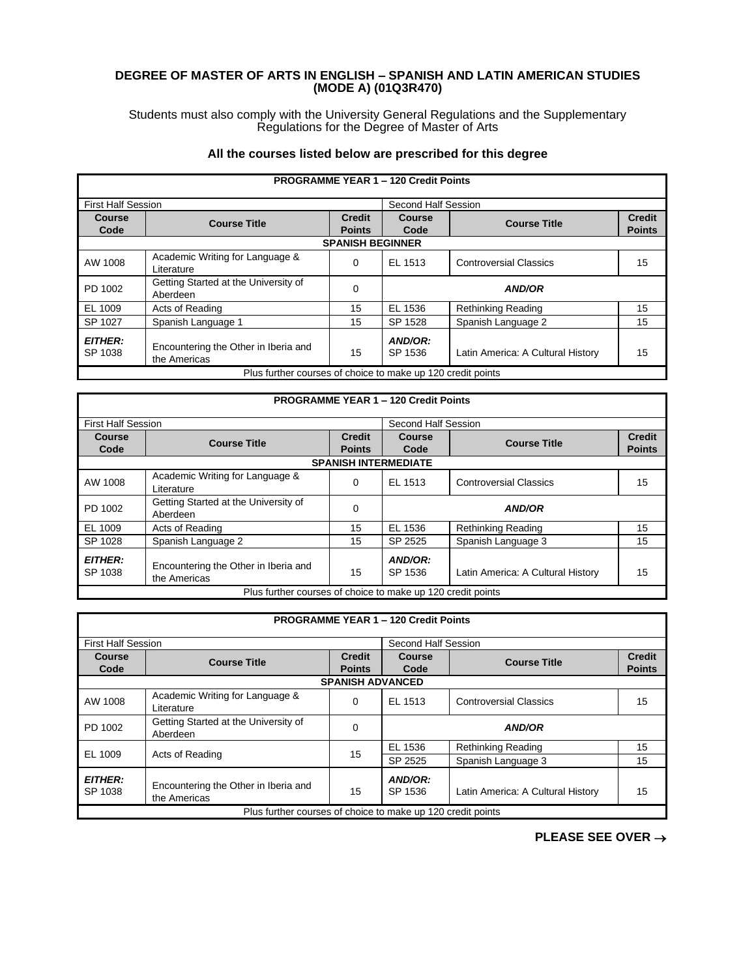## **DEGREE OF MASTER OF ARTS IN ENGLISH – SPANISH AND LATIN AMERICAN STUDIES (MODE A) (01Q3R470)**

Students must also comply with the University General Regulations and the Supplementary Regulations for the Degree of Master of Arts

## **All the courses listed below are prescribed for this degree**

|                           |                                                             |                         | <b>PROGRAMME YEAR 1 - 120 Credit Points</b> |                                   |               |
|---------------------------|-------------------------------------------------------------|-------------------------|---------------------------------------------|-----------------------------------|---------------|
| <b>First Half Session</b> |                                                             |                         | Second Half Session                         |                                   |               |
| <b>Course</b>             | <b>Course Title</b>                                         | <b>Credit</b>           | Course                                      | <b>Course Title</b>               | <b>Credit</b> |
| Code                      |                                                             | <b>Points</b>           | Code                                        |                                   | <b>Points</b> |
|                           |                                                             | <b>SPANISH BEGINNER</b> |                                             |                                   |               |
| AW 1008                   | Academic Writing for Language &<br>Literature               | 0                       | EL 1513                                     | <b>Controversial Classics</b>     | 15            |
| PD 1002                   | Getting Started at the University of<br>Aberdeen            | $\Omega$                |                                             | <b>AND/OR</b>                     |               |
| EL 1009                   | Acts of Reading                                             | 15                      | EL 1536                                     | <b>Rethinking Reading</b>         | 15            |
| SP 1027                   | Spanish Language 1                                          | 15                      | SP 1528                                     | Spanish Language 2                | 15            |
| <b>EITHER:</b><br>SP 1038 | Encountering the Other in Iberia and<br>the Americas        | 15                      | AND/OR:<br>SP 1536                          | Latin America: A Cultural History | 15            |
|                           | Plus further courses of choice to make up 120 credit points |                         |                                             |                                   |               |

|                           |                                                             |               | <b>PROGRAMME YEAR 1 - 120 Credit Points</b> |                                   |               |
|---------------------------|-------------------------------------------------------------|---------------|---------------------------------------------|-----------------------------------|---------------|
| <b>First Half Session</b> |                                                             |               | Second Half Session                         |                                   |               |
| Course                    | <b>Course Title</b>                                         | <b>Credit</b> | <b>Course</b>                               | <b>Course Title</b>               | <b>Credit</b> |
| Code                      |                                                             | <b>Points</b> | Code                                        |                                   | <b>Points</b> |
|                           |                                                             |               | <b>SPANISH INTERMEDIATE</b>                 |                                   |               |
| AW 1008                   | Academic Writing for Language &<br>Literature               | 0             | EL 1513                                     | <b>Controversial Classics</b>     | 15            |
| PD 1002                   | Getting Started at the University of<br>Aberdeen            | 0             |                                             | <b>AND/OR</b>                     |               |
| EL 1009                   | Acts of Reading                                             | 15            | EL 1536                                     | <b>Rethinking Reading</b>         | 15            |
| SP 1028                   | Spanish Language 2                                          | 15            | SP 2525                                     | Spanish Language 3                | 15            |
| <b>EITHER:</b><br>SP 1038 | Encountering the Other in Iberia and<br>the Americas        | 15            | AND/OR:<br>SP 1536                          | Latin America: A Cultural History | 15            |
|                           | Plus further courses of choice to make up 120 credit points |               |                                             |                                   |               |

|                           |                                                             |                                | <b>PROGRAMME YEAR 1 - 120 Credit Points</b> |                                   |                                |
|---------------------------|-------------------------------------------------------------|--------------------------------|---------------------------------------------|-----------------------------------|--------------------------------|
| <b>First Half Session</b> |                                                             |                                | Second Half Session                         |                                   |                                |
| Course<br>Code            | <b>Course Title</b>                                         | <b>Credit</b><br><b>Points</b> | <b>Course</b><br>Code                       | <b>Course Title</b>               | <b>Credit</b><br><b>Points</b> |
|                           |                                                             | <b>SPANISH ADVANCED</b>        |                                             |                                   |                                |
| AW 1008                   | Academic Writing for Language &<br>Literature               | $\Omega$                       | EL 1513                                     | <b>Controversial Classics</b>     | 15                             |
| PD 1002                   | Getting Started at the University of<br>Aberdeen            | 0                              |                                             | <b>AND/OR</b>                     |                                |
| EL 1009                   | Acts of Reading                                             | 15                             | EL 1536                                     | <b>Rethinking Reading</b>         | 15                             |
|                           |                                                             |                                | SP 2525                                     | Spanish Language 3                | 15                             |
| <b>EITHER:</b><br>SP 1038 | Encountering the Other in Iberia and<br>the Americas        | 15                             | AND/OR:<br>SP 1536                          | Latin America: A Cultural History | 15                             |
|                           | Plus further courses of choice to make up 120 credit points |                                |                                             |                                   |                                |

**PLEASE SEE OVER** →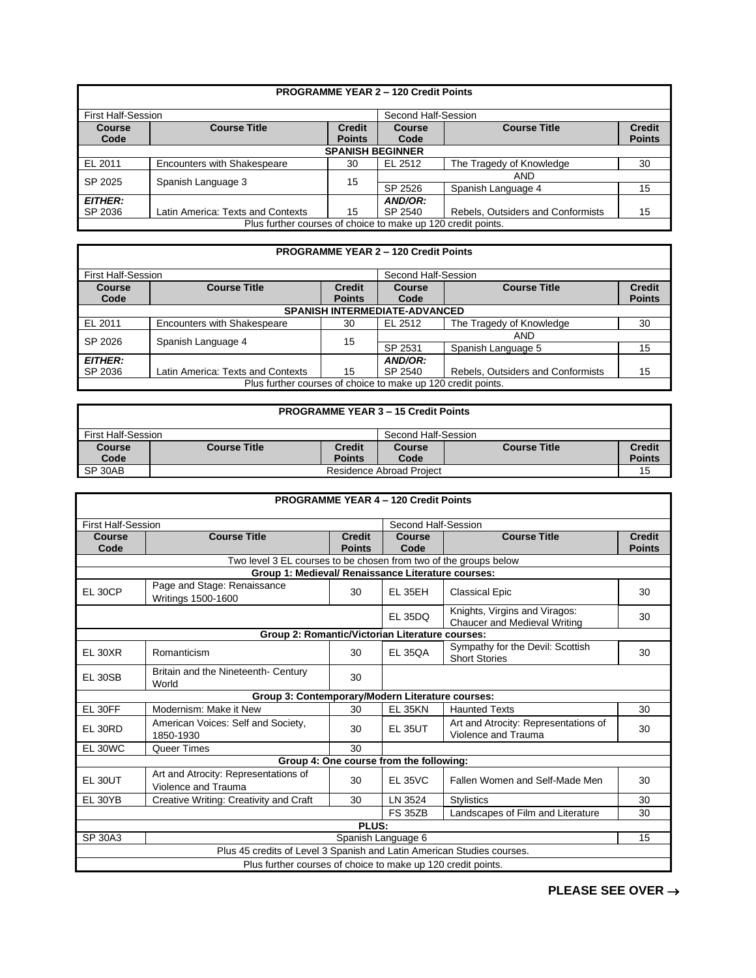|                           |                                                              |                                | <b>PROGRAMME YEAR 2 - 120 Credit Points</b> |                                   |                                |
|---------------------------|--------------------------------------------------------------|--------------------------------|---------------------------------------------|-----------------------------------|--------------------------------|
| <b>First Half-Session</b> |                                                              |                                | Second Half-Session                         |                                   |                                |
| <b>Course</b><br>Code     | <b>Course Title</b>                                          | <b>Credit</b><br><b>Points</b> | <b>Course</b><br>Code                       | <b>Course Title</b>               | <b>Credit</b><br><b>Points</b> |
|                           |                                                              | <b>SPANISH BEGINNER</b>        |                                             |                                   |                                |
| EL 2011                   | Encounters with Shakespeare                                  | 30                             | EL 2512                                     | The Tragedy of Knowledge          | 30                             |
| SP 2025                   |                                                              | 15                             |                                             | <b>AND</b>                        |                                |
|                           | Spanish Language 3                                           |                                | SP 2526                                     | Spanish Language 4                | 15                             |
| <b>EITHER:</b>            |                                                              |                                | AND/OR:                                     |                                   |                                |
| SP 2036                   | Latin America: Texts and Contexts                            | 15                             | SP 2540                                     | Rebels, Outsiders and Conformists | 15                             |
|                           | Plus further courses of choice to make up 120 credit points. |                                |                                             |                                   |                                |

|                           |                                                              |               | <b>PROGRAMME YEAR 2 - 120 Credit Points</b> |                                   |               |
|---------------------------|--------------------------------------------------------------|---------------|---------------------------------------------|-----------------------------------|---------------|
| <b>First Half-Session</b> |                                                              |               | Second Half-Session                         |                                   |               |
| <b>Course</b>             | <b>Course Title</b>                                          | <b>Credit</b> | <b>Course</b>                               | <b>Course Title</b>               | <b>Credit</b> |
| Code                      |                                                              | <b>Points</b> | Code                                        |                                   | <b>Points</b> |
|                           |                                                              |               | <b>SPANISH INTERMEDIATE-ADVANCED</b>        |                                   |               |
| EL 2011                   | <b>Encounters with Shakespeare</b>                           | 30            | EL 2512                                     | The Tragedy of Knowledge          | 30            |
| SP 2026                   |                                                              |               |                                             | AND                               |               |
|                           | Spanish Language 4                                           | 15            | SP 2531                                     | Spanish Language 5                | 15            |
| <b>EITHER:</b>            |                                                              |               | AND/OR:                                     |                                   |               |
| SP 2036                   | Latin America: Texts and Contexts                            | 15            | SP 2540                                     | Rebels, Outsiders and Conformists | 15            |
|                           | Plus further courses of choice to make up 120 credit points. |               |                                             |                                   |               |

|                    |                     |               | <b>PROGRAMME YEAR 3 - 15 Credit Points</b> |                     |               |
|--------------------|---------------------|---------------|--------------------------------------------|---------------------|---------------|
| First Half-Session |                     |               | Second Half-Session                        |                     |               |
| Course             | <b>Course Title</b> | <b>Credit</b> | Course                                     | <b>Course Title</b> | <b>Credit</b> |
| Code               |                     | <b>Points</b> | Code                                       |                     | <b>Points</b> |
| SP 30AB            |                     |               | Residence Abroad Project                   |                     | 15            |

|                           |                                                                        |                                | <b>PROGRAMME YEAR 4 - 120 Credit Points</b> |                                                               |                                |
|---------------------------|------------------------------------------------------------------------|--------------------------------|---------------------------------------------|---------------------------------------------------------------|--------------------------------|
| <b>First Half-Session</b> |                                                                        |                                | Second Half-Session                         |                                                               |                                |
| Course<br>Code            | <b>Course Title</b>                                                    | <b>Credit</b><br><b>Points</b> | Course<br>Code                              | <b>Course Title</b>                                           | <b>Credit</b><br><b>Points</b> |
|                           | Two level 3 EL courses to be chosen from two of the groups below       |                                |                                             |                                                               |                                |
|                           | Group 1: Medieval/ Renaissance Literature courses:                     |                                |                                             |                                                               |                                |
| EL 30CP                   | Page and Stage: Renaissance<br>Writings 1500-1600                      | 30                             | <b>EL 35EH</b>                              | <b>Classical Epic</b>                                         | 30                             |
|                           |                                                                        |                                | <b>EL 35DQ</b>                              | Knights, Virgins and Viragos:<br>Chaucer and Medieval Writing | 30                             |
|                           | Group 2: Romantic/Victorian Literature courses:                        |                                |                                             |                                                               |                                |
| EL 30XR                   | Romanticism                                                            | 30                             | <b>EL 350A</b>                              | Sympathy for the Devil: Scottish<br><b>Short Stories</b>      | 30                             |
| EL 30SB                   | Britain and the Nineteenth- Century<br>World                           | 30                             |                                             |                                                               |                                |
|                           | Group 3: Contemporary/Modern Literature courses:                       |                                |                                             |                                                               |                                |
| EL 30FF                   | Modernism: Make it New                                                 | 30                             | <b>EL 35KN</b>                              | <b>Haunted Texts</b>                                          | 30                             |
| EL 30RD                   | American Voices: Self and Society,<br>1850-1930                        | 30                             | <b>EL 35UT</b>                              | Art and Atrocity: Representations of<br>Violence and Trauma   | 30                             |
| EL 30WC                   | Queer Times                                                            | 30                             |                                             |                                                               |                                |
|                           |                                                                        |                                | Group 4: One course from the following:     |                                                               |                                |
| EL 30UT                   | Art and Atrocity: Representations of<br>Violence and Trauma            | 30                             | <b>EL 35VC</b>                              | Fallen Women and Self-Made Men                                | 30                             |
| EL 30YB                   | Creative Writing: Creativity and Craft                                 | 30                             | LN 3524                                     | <b>Stylistics</b>                                             | 30                             |
|                           |                                                                        |                                | <b>FS 35ZB</b>                              | Landscapes of Film and Literature                             | 30                             |
|                           |                                                                        | PLUS:                          |                                             |                                                               |                                |
| <b>SP 30A3</b>            |                                                                        |                                | Spanish Language 6                          |                                                               | 15                             |
|                           | Plus 45 credits of Level 3 Spanish and Latin American Studies courses. |                                |                                             |                                                               |                                |
|                           | Plus further courses of choice to make up 120 credit points.           |                                |                                             |                                                               |                                |

**PLEASE SEE OVER** →